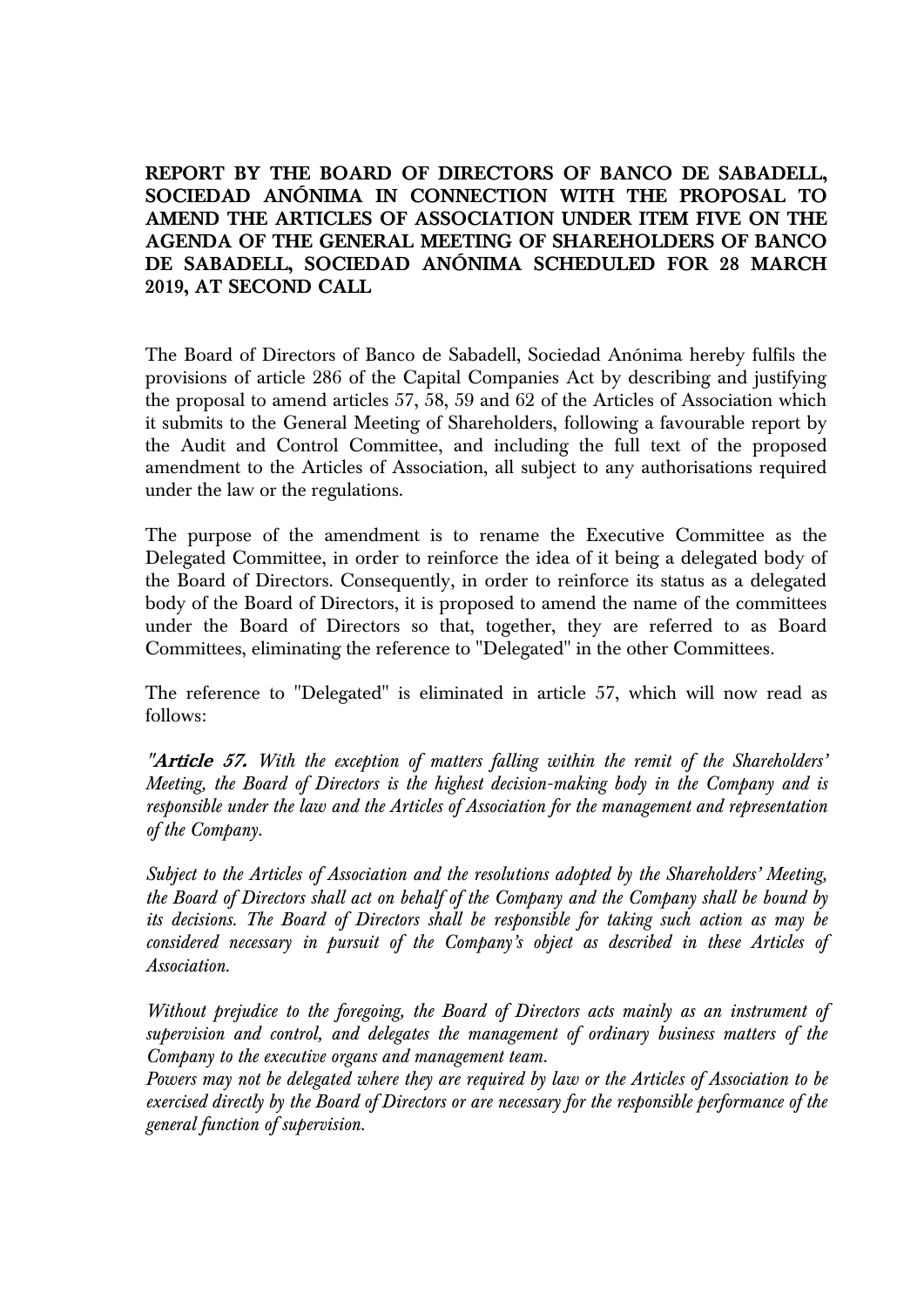**REPORT BY THE BOARD OF DIRECTORS OF BANCO DE SABADELL, SOCIEDAD ANÓNIMA IN CONNECTION WITH THE PROPOSAL TO AMEND THE ARTICLES OF ASSOCIATION UNDER ITEM FIVE ON THE AGENDA OF THE GENERAL MEETING OF SHAREHOLDERS OF BANCO DE SABADELL, SOCIEDAD ANÓNIMA SCHEDULED FOR 28 MARCH 2019, AT SECOND CALL**

The Board of Directors of Banco de Sabadell, Sociedad Anónima hereby fulfils the provisions of article 286 of the Capital Companies Act by describing and justifying the proposal to amend articles 57, 58, 59 and 62 of the Articles of Association which it submits to the General Meeting of Shareholders, following a favourable report by the Audit and Control Committee, and including the full text of the proposed amendment to the Articles of Association, all subject to any authorisations required under the law or the regulations.

The purpose of the amendment is to rename the Executive Committee as the Delegated Committee, in order to reinforce the idea of it being a delegated body of the Board of Directors. Consequently, in order to reinforce its status as a delegated body of the Board of Directors, it is proposed to amend the name of the committees under the Board of Directors so that, together, they are referred to as Board Committees, eliminating the reference to "Delegated" in the other Committees.

The reference to "Delegated" is eliminated in article 57, which will now read as follows:

**"Article 57.** *With the exception of matters falling within the remit of the Shareholders' Meeting, the Board of Directors is the highest decision-making body in the Company and is responsible under the law and the Articles of Association for the management and representation of the Company.* 

*Subject to the Articles of Association and the resolutions adopted by the Shareholders' Meeting, the Board of Directors shall act on behalf of the Company and the Company shall be bound by its decisions. The Board of Directors shall be responsible for taking such action as may be considered necessary in pursuit of the Company's object as described in these Articles of Association.*

*Without prejudice to the foregoing, the Board of Directors acts mainly as an instrument of supervision and control, and delegates the management of ordinary business matters of the Company to the executive organs and management team.*

*Powers may not be delegated where they are required by law or the Articles of Association to be exercised directly by the Board of Directors or are necessary for the responsible performance of the general function of supervision.*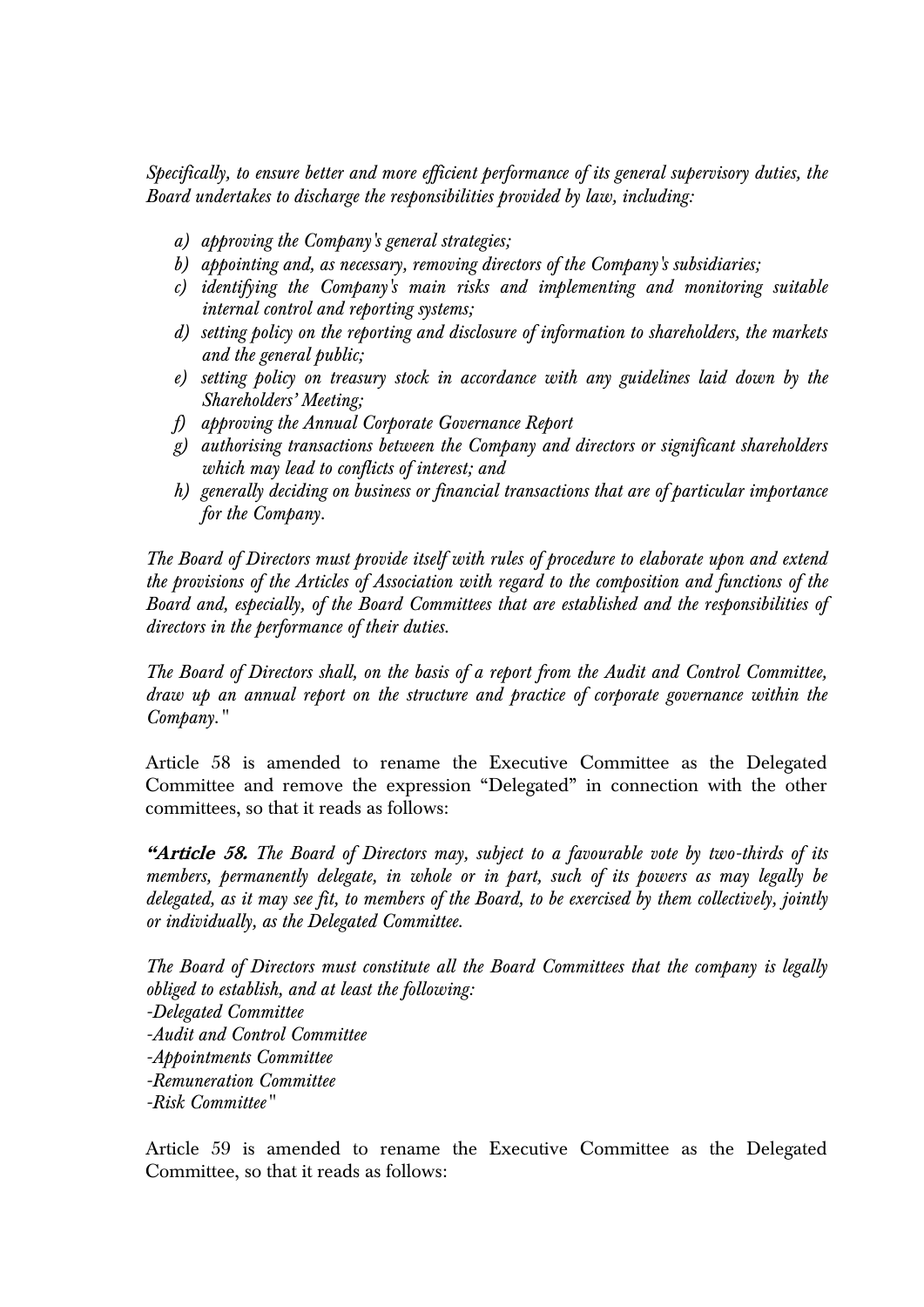*Specifically, to ensure better and more efficient performance of its general supervisory duties, the Board undertakes to discharge the responsibilities provided by law, including:*

- *a) approving the Company's general strategies;*
- *b) appointing and, as necessary, removing directors of the Company's subsidiaries;*
- *c) identifying the Company's main risks and implementing and monitoring suitable internal control and reporting systems;*
- *d) setting policy on the reporting and disclosure of information to shareholders, the markets and the general public;*
- *e) setting policy on treasury stock in accordance with any guidelines laid down by the Shareholders' Meeting;*
- *f) approving the Annual Corporate Governance Report*
- *g) authorising transactions between the Company and directors or significant shareholders which may lead to conflicts of interest; and*
- *h) generally deciding on business or financial transactions that are of particular importance for the Company.*

*The Board of Directors must provide itself with rules of procedure to elaborate upon and extend the provisions of the Articles of Association with regard to the composition and functions of the Board and, especially, of the Board Committees that are established and the responsibilities of directors in the performance of their duties.*

*The Board of Directors shall, on the basis of a report from the Audit and Control Committee, draw up an annual report on the structure and practice of corporate governance within the Company."*

Article 58 is amended to rename the Executive Committee as the Delegated Committee and remove the expression "Delegated" in connection with the other committees, so that it reads as follows:

**"Article 58.** *The Board of Directors may, subject to a favourable vote by two-thirds of its members, permanently delegate, in whole or in part, such of its powers as may legally be delegated, as it may see fit, to members of the Board, to be exercised by them collectively, jointly or individually, as the Delegated Committee.*

*The Board of Directors must constitute all the Board Committees that the company is legally obliged to establish, and at least the following: -Delegated Committee -Audit and Control Committee -Appointments Committee -Remuneration Committee -Risk Committee"*

Article 59 is amended to rename the Executive Committee as the Delegated Committee, so that it reads as follows: